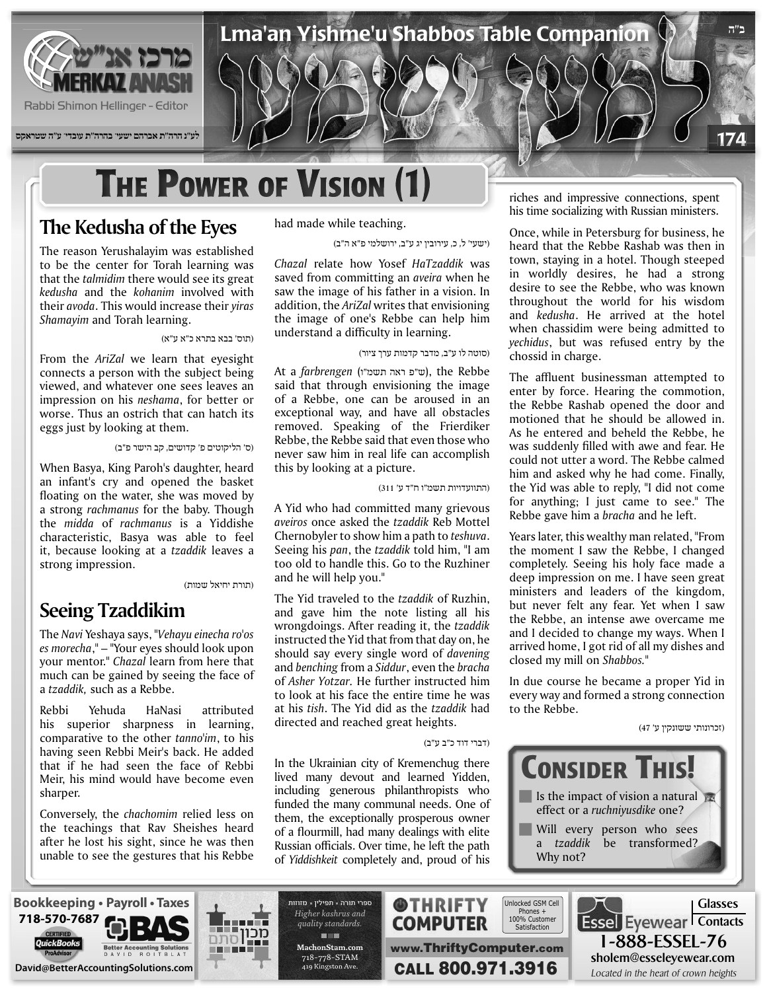

**לע"נ הרה"ת אברהם ישעי' בהרה"ת עובדי' ע"ה שטראקס**

# **THE POWER OF VISION (1)**

## **The Kedusha of the Eyes**

The reason Yerushalayim was established to be the center for Torah learning was that the *talmidim* there would see its great  $k$ edusha and the *kohanim* involved with *their avoda*. This would increase their *yiras* Shamayim and Torah learning.

#### (תוס' בבא בתרא כ"א ע"א)

From the *AriZal* we learn that eyesight connects a person with the subject being viewed, and whatever one sees leaves an impression on his *neshama*, for better or worse. Thus an ostrich that can hatch its eggs just by looking at them.

(ס' הליקוטים פ' קדושים, קב הישר פ"ב)

When Basya, King Paroh's daughter, heard an infant's cry and opened the basket floating on the water, she was moved by a strong *rachmanus* for the baby. Though the *midda* of *rachmanus* is a Yiddishe characteristic, Basya was able to feel it, because looking at a tzaddik leaves a strong impression.

(תורת יחיאל שמות)

### **Seeing Tzaddikim**

The Navi Yeshaya says, "Vehayu einecha ro'os es *morecha*," – "Your eyes should look upon your mentor." *Chazal* learn from here that much can be gained by seeing the face of a tzaddik, such as a Rebbe.

Rebbi Yehuda HaNasi attributed his superior sharpness in learning, comparative to the other tanno'im, to his having seen Rebbi Meir's back. He added that if he had seen the face of Rebbi Meir, his mind would have become even .sharper

Conversely, the *chachomim* relied less on the teachings that Rav Sheishes heard after he lost his sight, since he was then unable to see the gestures that his Rebbe had made while teaching.

(ישעי' ל, כ, עירובין יג ע"ב, ירושלמי פ"א ה"ב)

*Chazal* relate how Yosef *HaTzaddik* was saved from committing an *aveira* when he saw the image of his father in a vision. In addition, the AriZal writes that envisioning the image of one's Rebbe can help him understand a difficulty in learning.

(סוטה לו ע"ב, מדבר קדמות ערך ציור)

 Rebbe the ,)ש"פ ראה תשמ"ו) *farbrengen* a At said that through envisioning the image of a Rebbe, one can be aroused in an exceptional way, and have all obstacles removed. Speaking of the Frierdiker Rebbe, the Rebbe said that even those who never saw him in real life can accomplish this by looking at a picture.

(התוועדויות תשמ"ו ח"ד ע' 311)

A Yid who had committed many grievous aveiros once asked the *tzaddik* Reb Mottel Chernobyler to show him a path to *teshuva*. Seeing his pan, the tzaddik told him, "I am too old to handle this. Go to the Ruzhiner and he will help you."

The Yid traveled to the *tzaddik* of Ruzhin, and gave him the note listing all his *wrongdoings. After reading it, the tzaddik* instructed the Yid that from that day on, he should say every single word of *davening and benching from a Siddur*, even the *bracha* of *Asher Yotzar*. He further instructed him to look at his face the entire time he was at his *tish*. The Yid did as the tzaddik had directed and reached great heights.

(דברי דוד כ"ב ע"ב)

In the Ukrainian city of Kremenchug there lived many devout and learned Yidden, including generous philanthropists who funded the many communal needs. One of them, the exceptionally prosperous owner of a flourmill, had many dealings with elite Russian officials. Over time, he left the path of Yiddishkeit completely and, proud of his

riches and impressive connections, spent his time socializing with Russian ministers.

**ב"ה**

174

Once, while in Petersburg for business, he heard that the Rebbe Rashab was then in town, staying in a hotel. Though steeped in worldly desires, he had a strong desire to see the Rebbe, who was known throughout the world for his wisdom and *kedusha*. He arrived at the hotel when chassidim were being admitted to yechidus, but was refused entry by the chossid in charge.

The affluent businessman attempted to enter by force. Hearing the commotion, the Rebbe Rashab opened the door and motioned that he should be allowed in. As he entered and beheld the Rebbe, he was suddenly filled with awe and fear. He could not utter a word. The Rebbe calmed him and asked why he had come. Finally, the Yid was able to reply, "I did not come for anything; I just came to see." The Rebbe gave him a *bracha* and he left.

Years later, this wealthy man related, "From the moment I saw the Rebbe, I changed completely. Seeing his holy face made a deep impression on me. I have seen great ministers and leaders of the kingdom, but never felt any fear. Yet when I saw the Rebbe, an intense awe overcame me and I decided to change my ways. When I arrived home, I got rid of all my dishes and closed my mill on Shabbos."

In due course he became a proper Yid in every way and formed a strong connection to the Rebbe.

(זכרונותי ששונקין ע' 47)